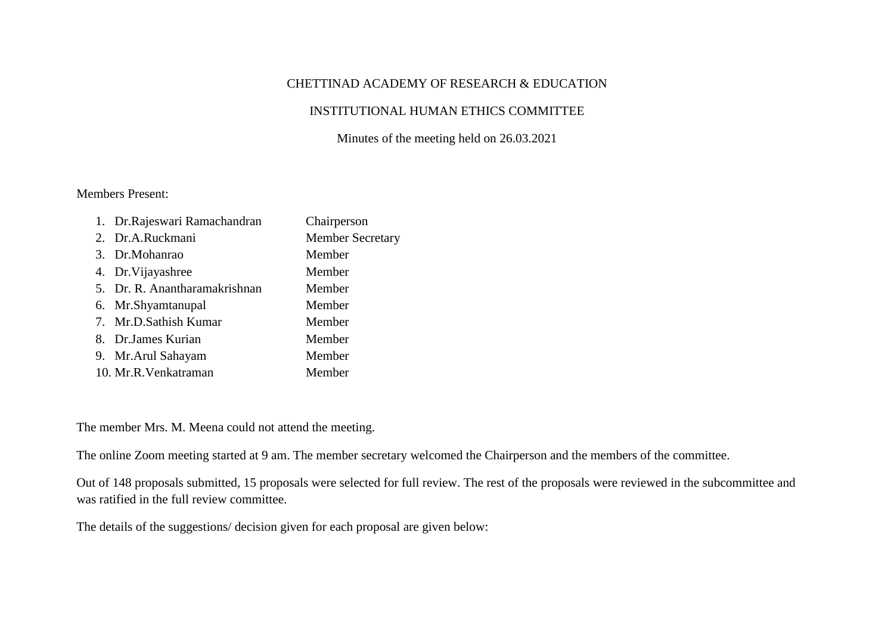## CHETTINAD ACADEMY OF RESEARCH & EDUCATION

## INSTITUTIONAL HUMAN ETHICS COMMITTEE

Minutes of the meeting held on 26.03.2021

## Members Present:

| 1. Dr. Rajeswari Ramachandran | Chairperson             |
|-------------------------------|-------------------------|
| 2. Dr.A.Ruckmani              | <b>Member Secretary</b> |
| 3. Dr.Mohanrao                | Member                  |
| 4. Dr. Vijayashree            | Member                  |
| 5. Dr. R. Anantharamakrishnan | Member                  |
| 6. Mr.Shyamtanupal            | Member                  |
| 7. Mr.D.Sathish Kumar         | Member                  |
| 8. Dr. James Kurian           | Member                  |
| 9. Mr. Arul Sahayam           | Member                  |
| 10. Mr.R.Venkatraman          | Member                  |

The member Mrs. M. Meena could not attend the meeting.

The online Zoom meeting started at 9 am. The member secretary welcomed the Chairperson and the members of the committee.

Out of 148 proposals submitted, 15 proposals were selected for full review. The rest of the proposals were reviewed in the subcommittee and was ratified in the full review committee.

The details of the suggestions/ decision given for each proposal are given below: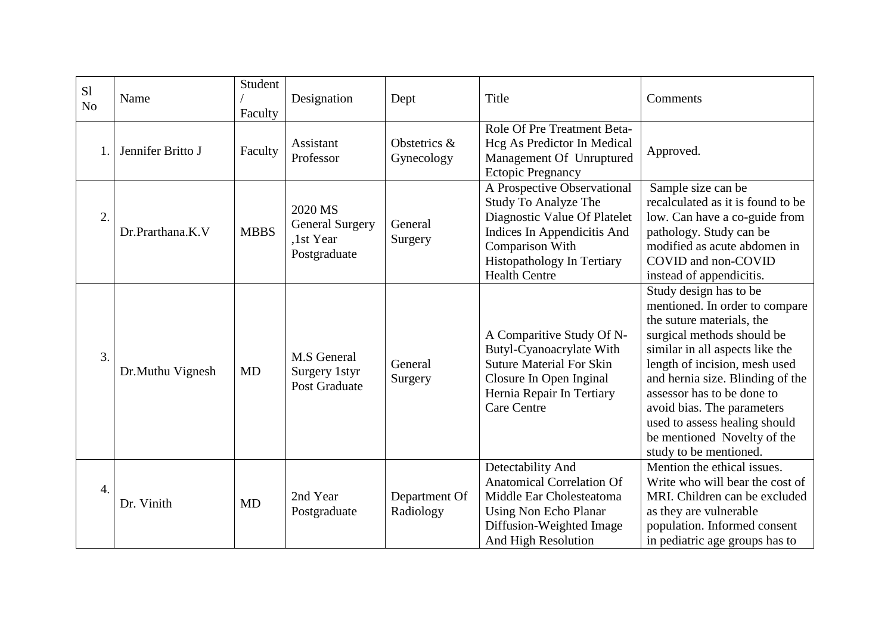| S1<br>N <sub>o</sub> | Name              | Student<br>Faculty | Designation                                                    | Dept                       | Title                                                                                                                                                                                                     | Comments                                                                                                                                                                                                                                                                                                                                                                          |
|----------------------|-------------------|--------------------|----------------------------------------------------------------|----------------------------|-----------------------------------------------------------------------------------------------------------------------------------------------------------------------------------------------------------|-----------------------------------------------------------------------------------------------------------------------------------------------------------------------------------------------------------------------------------------------------------------------------------------------------------------------------------------------------------------------------------|
|                      | Jennifer Britto J | Faculty            | Assistant<br>Professor                                         | Obstetrics &<br>Gynecology | Role Of Pre Treatment Beta-<br>Hcg As Predictor In Medical<br>Management Of Unruptured<br><b>Ectopic Pregnancy</b>                                                                                        | Approved.                                                                                                                                                                                                                                                                                                                                                                         |
| 2.                   | Dr.Prarthana.K.V  | <b>MBBS</b>        | 2020 MS<br><b>General Surgery</b><br>,1st Year<br>Postgraduate | General<br>Surgery         | A Prospective Observational<br><b>Study To Analyze The</b><br>Diagnostic Value Of Platelet<br>Indices In Appendicitis And<br>Comparison With<br><b>Histopathology In Tertiary</b><br><b>Health Centre</b> | Sample size can be<br>recalculated as it is found to be<br>low. Can have a co-guide from<br>pathology. Study can be<br>modified as acute abdomen in<br>COVID and non-COVID<br>instead of appendicitis.                                                                                                                                                                            |
| 3.                   | Dr.Muthu Vignesh  | MD                 | <b>M.S</b> General<br>Surgery 1styr<br>Post Graduate           | General<br>Surgery         | A Comparitive Study Of N-<br>Butyl-Cyanoacrylate With<br><b>Suture Material For Skin</b><br>Closure In Open Inginal<br>Hernia Repair In Tertiary<br><b>Care Centre</b>                                    | Study design has to be<br>mentioned. In order to compare<br>the suture materials, the<br>surgical methods should be<br>similar in all aspects like the<br>length of incision, mesh used<br>and hernia size. Blinding of the<br>assessor has to be done to<br>avoid bias. The parameters<br>used to assess healing should<br>be mentioned Novelty of the<br>study to be mentioned. |
| 4.                   | Dr. Vinith        | <b>MD</b>          | 2nd Year<br>Postgraduate                                       | Department Of<br>Radiology | Detectability And<br><b>Anatomical Correlation Of</b><br>Middle Ear Cholesteatoma<br><b>Using Non Echo Planar</b><br>Diffusion-Weighted Image<br>And High Resolution                                      | Mention the ethical issues.<br>Write who will bear the cost of<br>MRI. Children can be excluded<br>as they are vulnerable<br>population. Informed consent<br>in pediatric age groups has to                                                                                                                                                                                       |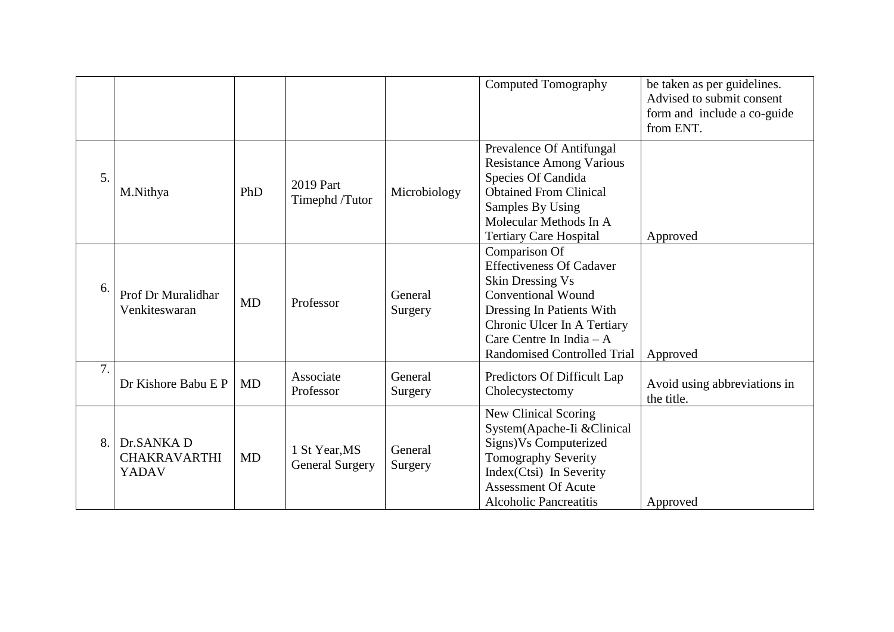|    |                                            |           |                                         |                    | <b>Computed Tomography</b>                                                                                                                                                                                                              | be taken as per guidelines.<br>Advised to submit consent<br>form and include a co-guide<br>from ENT. |
|----|--------------------------------------------|-----------|-----------------------------------------|--------------------|-----------------------------------------------------------------------------------------------------------------------------------------------------------------------------------------------------------------------------------------|------------------------------------------------------------------------------------------------------|
| 5. | M.Nithya                                   | PhD       | 2019 Part<br>Timephd /Tutor             | Microbiology       | Prevalence Of Antifungal<br><b>Resistance Among Various</b><br>Species Of Candida<br><b>Obtained From Clinical</b><br>Samples By Using<br>Molecular Methods In A<br><b>Tertiary Care Hospital</b>                                       | Approved                                                                                             |
| 6. | Prof Dr Muralidhar<br>Venkiteswaran        | <b>MD</b> | Professor                               | General<br>Surgery | Comparison Of<br><b>Effectiveness Of Cadaver</b><br><b>Skin Dressing Vs</b><br><b>Conventional Wound</b><br>Dressing In Patients With<br>Chronic Ulcer In A Tertiary<br>Care Centre In India $-A$<br><b>Randomised Controlled Trial</b> | Approved                                                                                             |
| 7. | Dr Kishore Babu E P                        | MD        | Associate<br>Professor                  | General<br>Surgery | Predictors Of Difficult Lap<br>Cholecystectomy                                                                                                                                                                                          | Avoid using abbreviations in<br>the title.                                                           |
| 8. | Dr.SANKA D<br><b>CHAKRAVARTHI</b><br>YADAV | MD        | 1 St Year, MS<br><b>General Surgery</b> | General<br>Surgery | New Clinical Scoring<br>System(Apache-Ii & Clinical<br>Signs) Vs Computerized<br><b>Tomography Severity</b><br>Index(Ctsi) In Severity<br><b>Assessment Of Acute</b><br><b>Alcoholic Pancreatitis</b>                                   | Approved                                                                                             |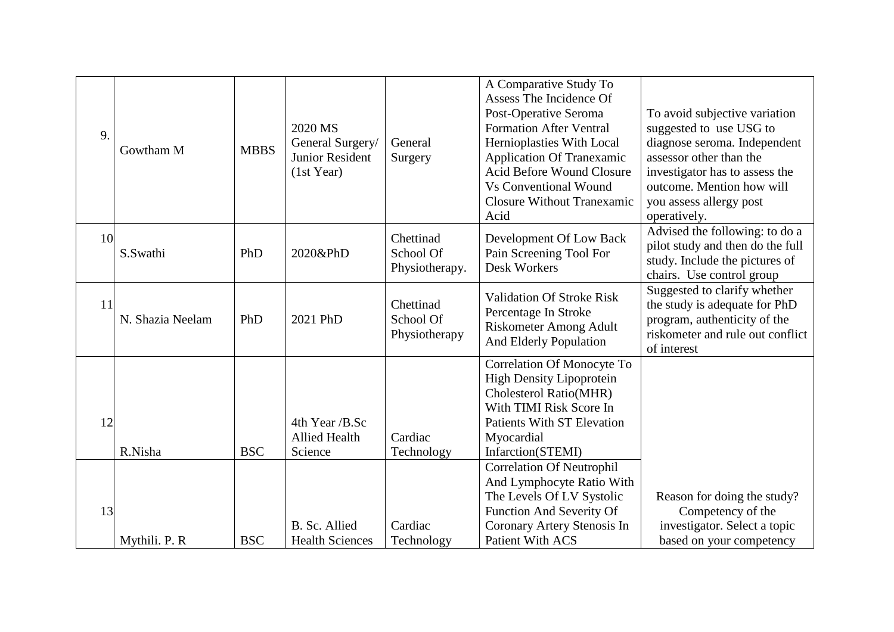| 9. | Gowtham M        | <b>MBBS</b> | 2020 MS<br>General Surgery/<br><b>Junior Resident</b><br>(1st Year) | General<br>Surgery                       | A Comparative Study To<br>Assess The Incidence Of<br>Post-Operative Seroma<br><b>Formation After Ventral</b><br>Hernioplasties With Local<br><b>Application Of Tranexamic</b><br><b>Acid Before Wound Closure</b><br><b>Vs Conventional Wound</b><br><b>Closure Without Tranexamic</b><br>Acid | To avoid subjective variation<br>suggested to use USG to<br>diagnose seroma. Independent<br>assessor other than the<br>investigator has to assess the<br>outcome. Mention how will<br>you assess allergy post<br>operatively. |
|----|------------------|-------------|---------------------------------------------------------------------|------------------------------------------|------------------------------------------------------------------------------------------------------------------------------------------------------------------------------------------------------------------------------------------------------------------------------------------------|-------------------------------------------------------------------------------------------------------------------------------------------------------------------------------------------------------------------------------|
| 10 | S.Swathi         | PhD         | 2020&PhD                                                            | Chettinad<br>School Of<br>Physiotherapy. | Development Of Low Back<br>Pain Screening Tool For<br>Desk Workers                                                                                                                                                                                                                             | Advised the following: to do a<br>pilot study and then do the full<br>study. Include the pictures of<br>chairs. Use control group                                                                                             |
| 11 | N. Shazia Neelam | PhD         | 2021 PhD                                                            | Chettinad<br>School Of<br>Physiotherapy  | <b>Validation Of Stroke Risk</b><br>Percentage In Stroke<br>Riskometer Among Adult<br>And Elderly Population                                                                                                                                                                                   | Suggested to clarify whether<br>the study is adequate for PhD<br>program, authenticity of the<br>riskometer and rule out conflict<br>of interest                                                                              |
| 12 | R.Nisha          | <b>BSC</b>  | 4th Year /B.Sc<br><b>Allied Health</b><br>Science                   | Cardiac<br>Technology                    | Correlation Of Monocyte To<br><b>High Density Lipoprotein</b><br>Cholesterol Ratio(MHR)<br>With TIMI Risk Score In<br><b>Patients With ST Elevation</b><br>Myocardial<br>Infarction(STEMI)                                                                                                     |                                                                                                                                                                                                                               |
| 13 | Mythili. P. R    | <b>BSC</b>  | B. Sc. Allied<br><b>Health Sciences</b>                             | Cardiac<br>Technology                    | <b>Correlation Of Neutrophil</b><br>And Lymphocyte Ratio With<br>The Levels Of LV Systolic<br>Function And Severity Of<br>Coronary Artery Stenosis In<br><b>Patient With ACS</b>                                                                                                               | Reason for doing the study?<br>Competency of the<br>investigator. Select a topic<br>based on your competency                                                                                                                  |